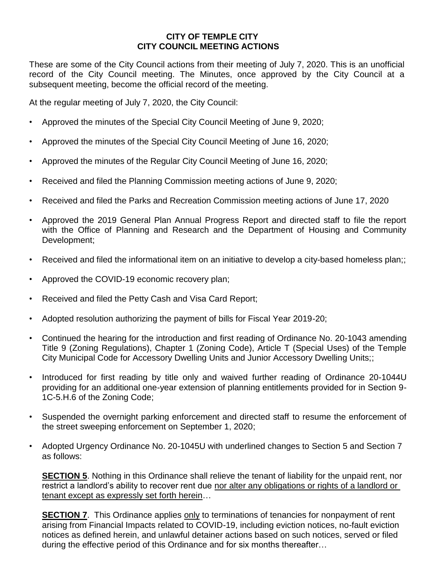## **CITY OF TEMPLE CITY CITY COUNCIL MEETING ACTIONS**

These are some of the City Council actions from their meeting of July 7, 2020. This is an unofficial record of the City Council meeting. The Minutes, once approved by the City Council at a subsequent meeting, become the official record of the meeting.

At the regular meeting of July 7, 2020, the City Council:

- Approved the minutes of the Special City Council Meeting of June 9, 2020;
- Approved the minutes of the Special City Council Meeting of June 16, 2020;
- Approved the minutes of the Regular City Council Meeting of June 16, 2020;
- Received and filed the Planning Commission meeting actions of June 9, 2020;
- Received and filed the Parks and Recreation Commission meeting actions of June 17, 2020
- Approved the 2019 General Plan Annual Progress Report and directed staff to file the report with the Office of Planning and Research and the Department of Housing and Community Development;
- Received and filed the informational item on an initiative to develop a city-based homeless plan;;
- Approved the COVID-19 economic recovery plan;
- Received and filed the Petty Cash and Visa Card Report;
- Adopted resolution authorizing the payment of bills for Fiscal Year 2019-20;
- Continued the hearing for the introduction and first reading of Ordinance No. 20-1043 amending Title 9 (Zoning Regulations), Chapter 1 (Zoning Code), Article T (Special Uses) of the Temple City Municipal Code for Accessory Dwelling Units and Junior Accessory Dwelling Units;;
- Introduced for first reading by title only and waived further reading of Ordinance 20-1044U providing for an additional one-year extension of planning entitlements provided for in Section 9- 1C-5.H.6 of the Zoning Code;
- Suspended the overnight parking enforcement and directed staff to resume the enforcement of the street sweeping enforcement on September 1, 2020;
- Adopted Urgency Ordinance No. 20-1045U with underlined changes to Section 5 and Section 7 as follows:

**SECTION 5**. Nothing in this Ordinance shall relieve the tenant of liability for the unpaid rent, nor restrict a landlord's ability to recover rent due nor alter any obligations or rights of a landlord or tenant except as expressly set forth herein…

**SECTION 7**. This Ordinance applies only to terminations of tenancies for nonpayment of rent arising from Financial Impacts related to COVID-19, including eviction notices, no-fault eviction notices as defined herein, and unlawful detainer actions based on such notices, served or filed during the effective period of this Ordinance and for six months thereafter…